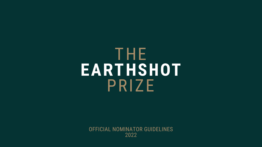## THE EARTHSHOT PRIZE

OFFICIAL NOMINATOR GUIDELINES 2022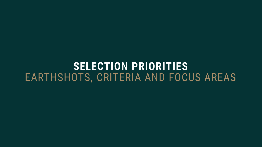## **SELECTION PRIORITIES** EARTHSHOTS, CRITERIA AND FOCUS AREAS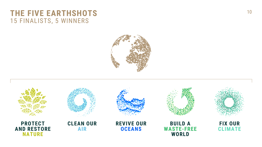### THE FIVE EARTHSHOTS 10 15 FINALISTS, 5 WINNERS



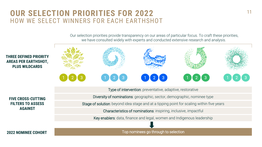## **OUR SELECTION PRIORITIES FOR 2022** HOW WE SELECT WINNERS FOR EACH EARTHSHOT

Our selection priorities provide transparency on our areas of particular focus. To craft these priorities, we have consulted widely with experts and conducted extensive research and analysis.



Type of intervention: preventative, adaptive, restorative

**FIVE CROSS-CUTTING FILTERS TO ASSESS AGAINST**

**PLUS WILDCARDS**

Diversity of nominations: geographic, sector, demographic, nominee type

Stage of solution: beyond idea stage and at a tipping point for scaling within five years

Characteristics of nominations: inspiring, inclusive, impactful

Key enablers: data, finance and legal, women and Indigenous leadership

**2022 NOMINEE COHORT The COHORT Top nominees go through to selection**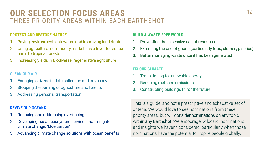## **OUR SELECTION FOCUS AREAS** 12 THREE PRIORITY AREAS WITHIN EACH EARTHSHOT

#### **PROTECT AND RESTORE NATURE**

- 1. Paying environmental stewards and improving land rights
- Using agricultural commodity markets as a lever to reduce harm to tropical forests
- Increasing yields in biodiverse, regenerative agriculture

#### **CLEAN OUR AIR**

- 1. Engaging citizens in data collection and advocacy
- Stopping the burning of agriculture and forests
- Addressing personal transportation

#### **REVIVE OUR OCEANS**

- 1. Reducing and addressing overfishing
- Developing ocean ecosystem services that mitigate climate change: 'blue carbon'
- Advancing climate change solutions with ocean benefits

#### **BUILD A WASTE-FREE WORLD**

- 1. Preventing the excessive use of resources
- 2. Extending the use of goods (particularly food, clothes, plastics)
- 3. Better managing waste once it has been generated

#### **FIX OUR CLIMATE**

- Transitioning to renewable energy
- Reducing methane emissions
- 3. Constructing buildings fit for the future

This is a guide, and not a prescriptive and exhaustive set of criteria. We would love to see nominations from these priority areas, but will consider nominations on any topic within any Earthshot. We encourage 'wildcard' nominations and insights we haven't considered, particularly when those nominations have the potential to inspire people globally.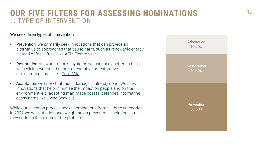## **OUR FIVE FILTERS FOR ASSESSING NOMINATIONS** 13 1. TYPE OF INTERVENTION

#### We seek three types of intervention:

- **Prevention:** we primarily seek innovations that can provide an alternative to approaches that cause harm, such as renewable energy instead of fossil fuels, like [AEM Electrolyser](https://www.enapter.com/).
- Restoration: we want to make systems we use today better. In this, we seek innovations that are regenerative or restorative: e.g. restoring corals, like [Coral Vita](https://www.coralvita.co/).
- Adaptation: we know that much damage is already done. We seek innovations that help minimise the impact on people and on the environment: e.g. adapting man-made coastal defences into marine ecosystems like [Living Seawalls](https://www.livingseawalls.com.au/).

While our selection process seeks nominations from all three categories, in 2022 we will put additional weighting on preventative solutions as they address the source of the problem.

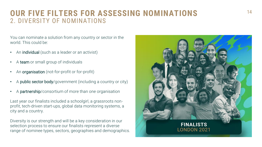## **OUR FIVE FILTERS FOR ASSESSING NOMINATIONS** 14 2. DIVERSITY OF NOMINATIONS

You can nominate a solution from any country or sector in the world. This could be:

- An individual (such as a leader or an activist)
- A team or small group of individuals
- An organisation (not-for-profit or for-profit)
- A public sector body/government (including a country or city)
- A partnership/consortium of more than one organisation

Last year our finalists included a schoolgirl, a grassroots nonprofit, tech-driven start-ups, global data monitoring systems, a city and a country.

Diversity is our strength and will be a key consideration in our selection process to ensure our finalists represent a diverse range of nominee types, sectors, geographies and demographics.

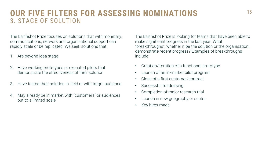## **OUR FIVE FILTERS FOR ASSESSING NOMINATIONS** 15 3. STAGE OF SOLUTION

The Earthshot Prize focuses on solutions that with monetary, communications, network and organisational support can rapidly scale or be replicated. We seek solutions that:

- Are beyond idea stage
- 2. Have working prototypes or executed pilots that demonstrate the effectiveness of their solution
- 3. Have tested their solution in-field or with target audience
- 4. May already be in market with "customers" or audiences but to a limited scale

The Earthshot Prize is looking for teams that have been able to make significant progress in the last year. What "breakthroughs", whether it be the solution or the organisation, demonstrate recent progress? Examples of breakthroughs include:

- Creation/iteration of a functional prototype
- Launch of an in-market pilot program
- Close of a first customer/contract
- Successful fundraising
- Completion of major research trial
- Launch in new geography or sector
- Key hires made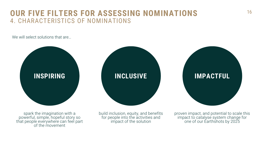## **OUR FIVE FILTERS FOR ASSESSING NOMINATIONS** 16 4. CHARACTERISTICS OF NOMINATIONS

We will select solutions that are...



spark the imagination with a powerful, simple, hopeful story so that people everywhere can feel part of the movement

build inclusion, equity, and benefits for people into the activities and impact of the solution

proven impact, and potential to scale this impact to catalyse system change for one of our Earthshots by 2025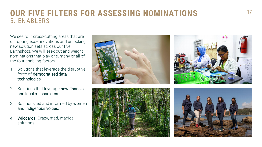## **OUR FIVE FILTERS FOR ASSESSING NOMINATIONS** 17 5. ENABLERS

We see four cross-cutting areas that are disrupting eco-innovations and unlocking new solution sets across our five Earthshots. We will seek out and weight nominations that play one, many or all of the four enabling factors.

- 1. Solutions that leverage the disruptive force of democratised data technologies.
- 2. Solutions that leverage new financial and legal mechanisms.
- 3. Solutions led and informed by women and Indigenous voices.
- 4. Wildcards. Crazy, mad, magical solutions.